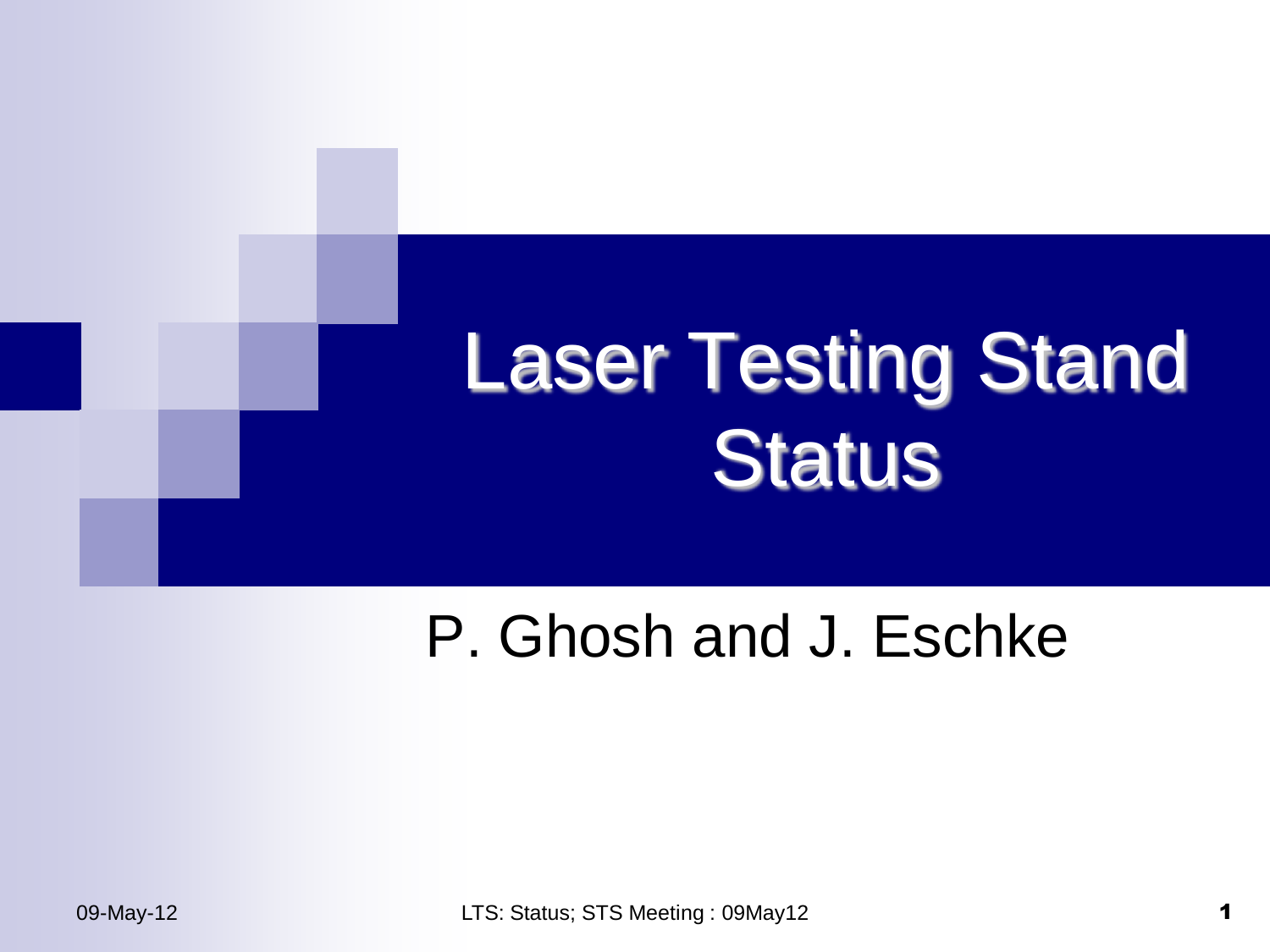

### P. Ghosh and J. Eschke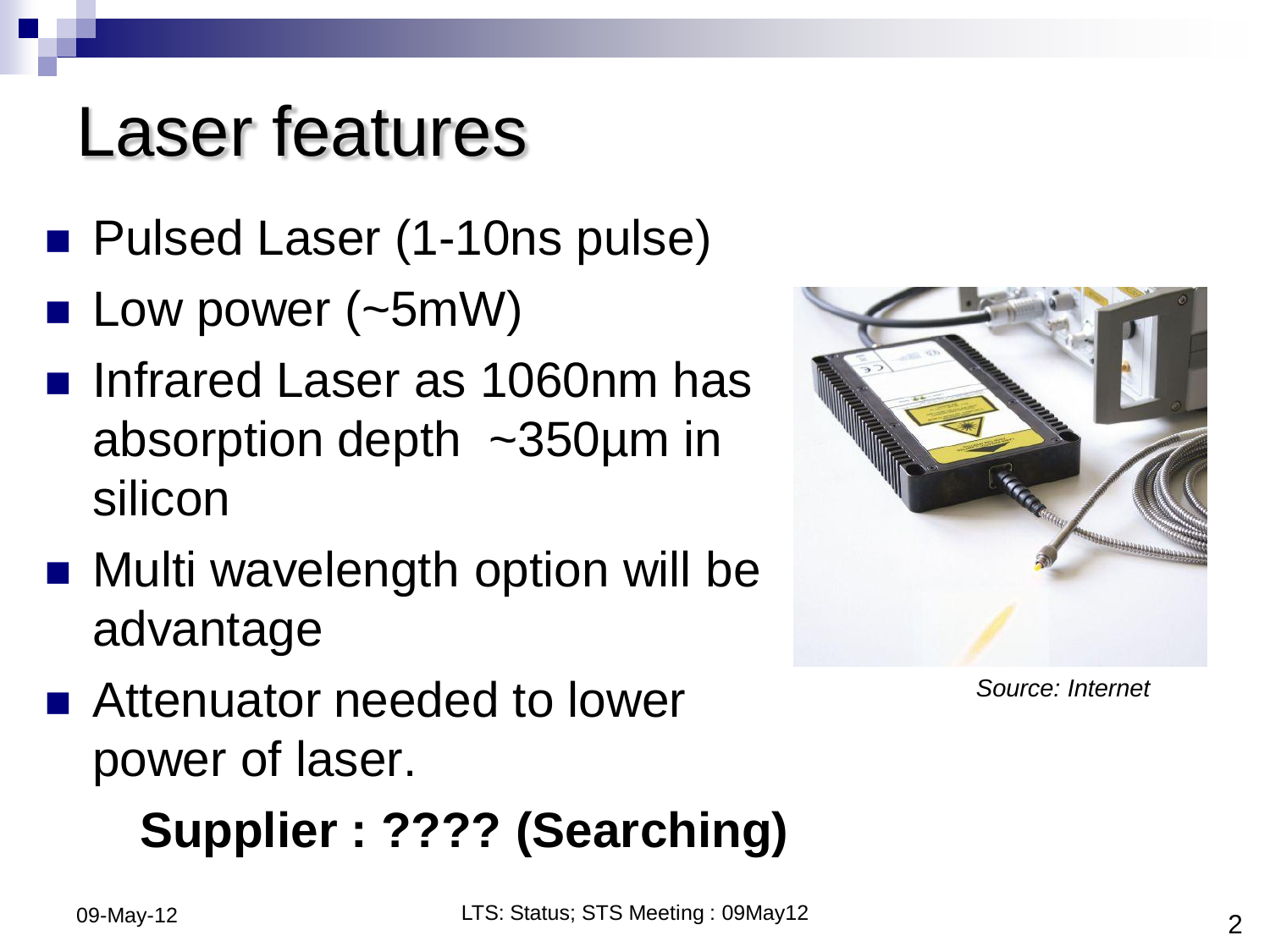### Laser features

- Pulsed Laser (1-10ns pulse)
- **Low power (** $\sim$ **5mW)**
- Infrared Laser as 1060nm has absorption depth ~350µm in silicon
- Multi wavelength option will be advantage
- Attenuator needed to lower power of laser.

#### **Supplier : ???? (Searching)**



*Source: Internet*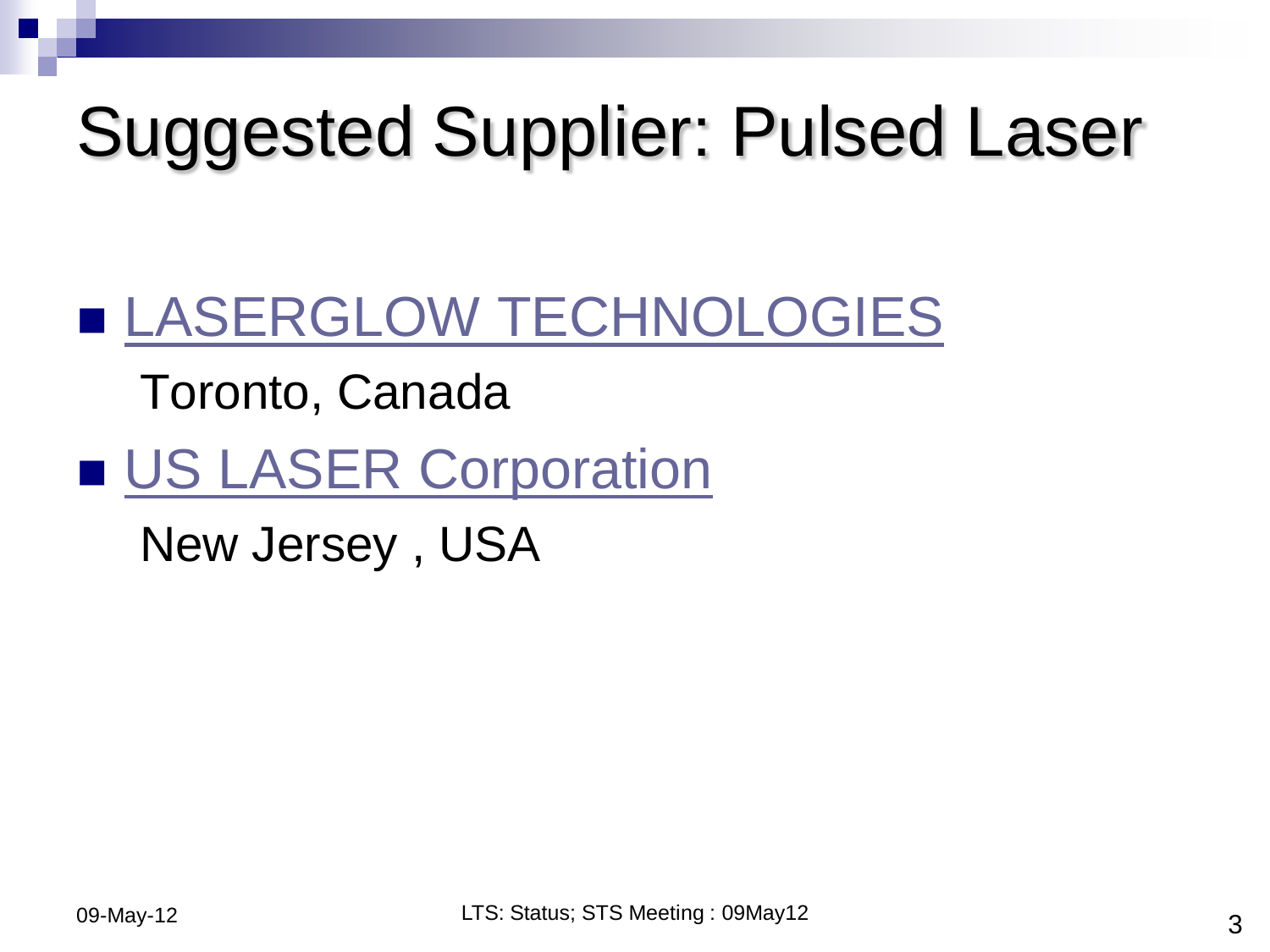## Suggested Supplier: Pulsed Laser

#### **[LASERGLOW TECHNOLOGIES](http://www.laserglow.com/finder.htm)**

#### Toronto, Canada

#### **[US LASER Corporation](http://www.uslasercorp.com/)**

New Jersey , USA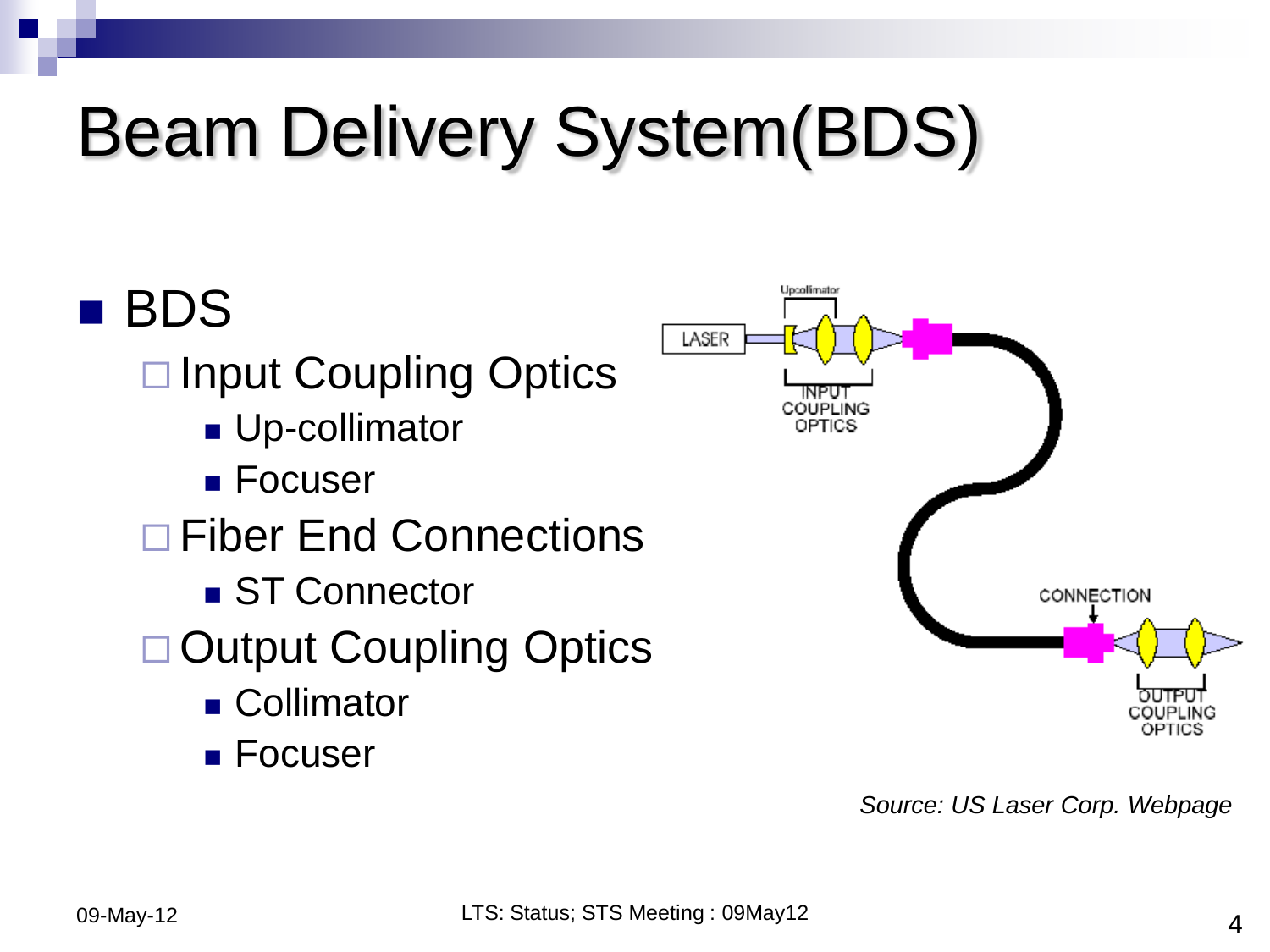# Beam Delivery System(BDS)



*Source: US Laser Corp. Webpage*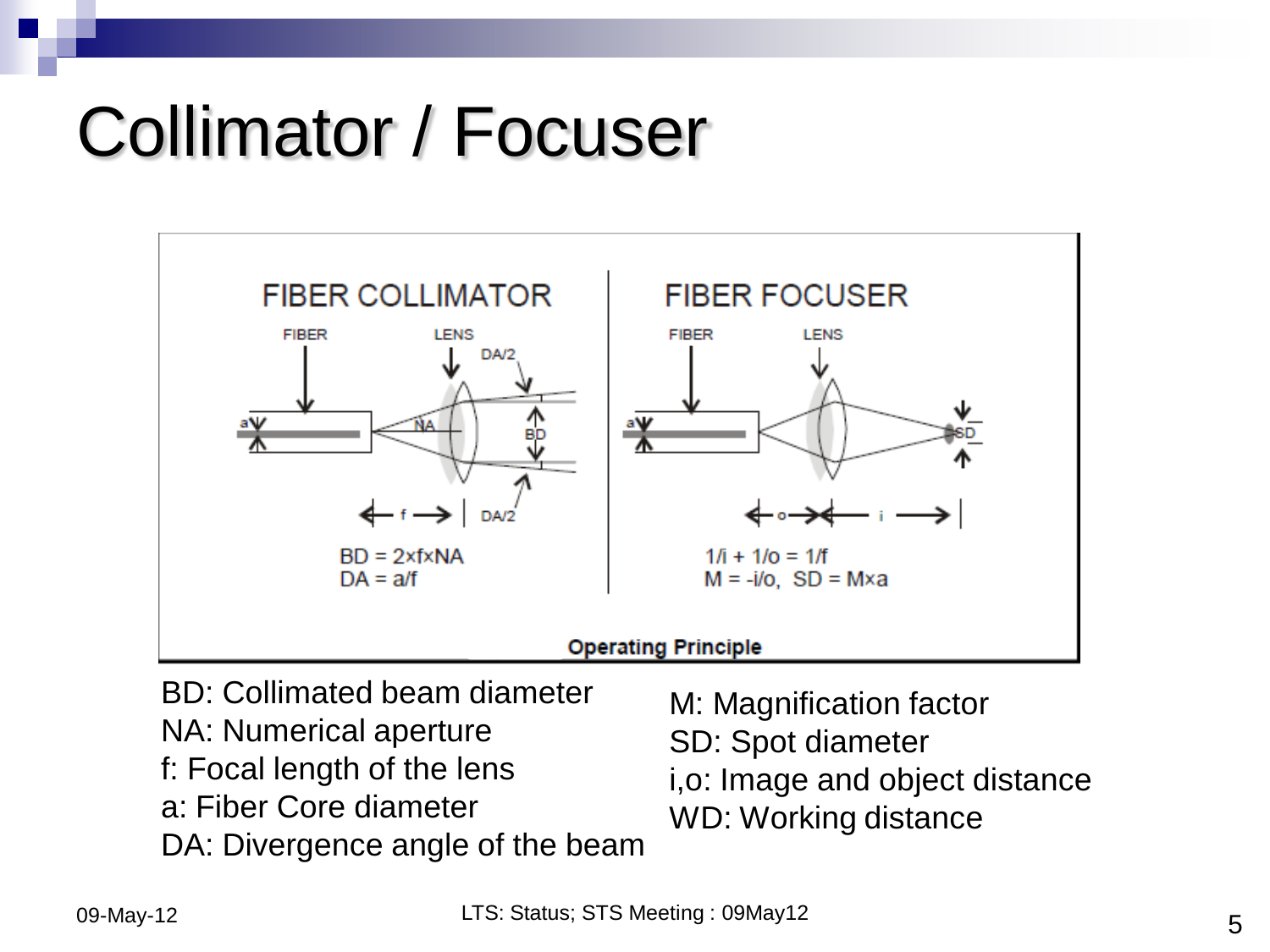### Collimator / Focuser



- NA: Numerical aperture
- f: Focal length of the lens
- a: Fiber Core diameter
- DA: Divergence angle of the beam
- M: Magnification factor SD: Spot diameter i,o: Image and object distance
- WD: Working distance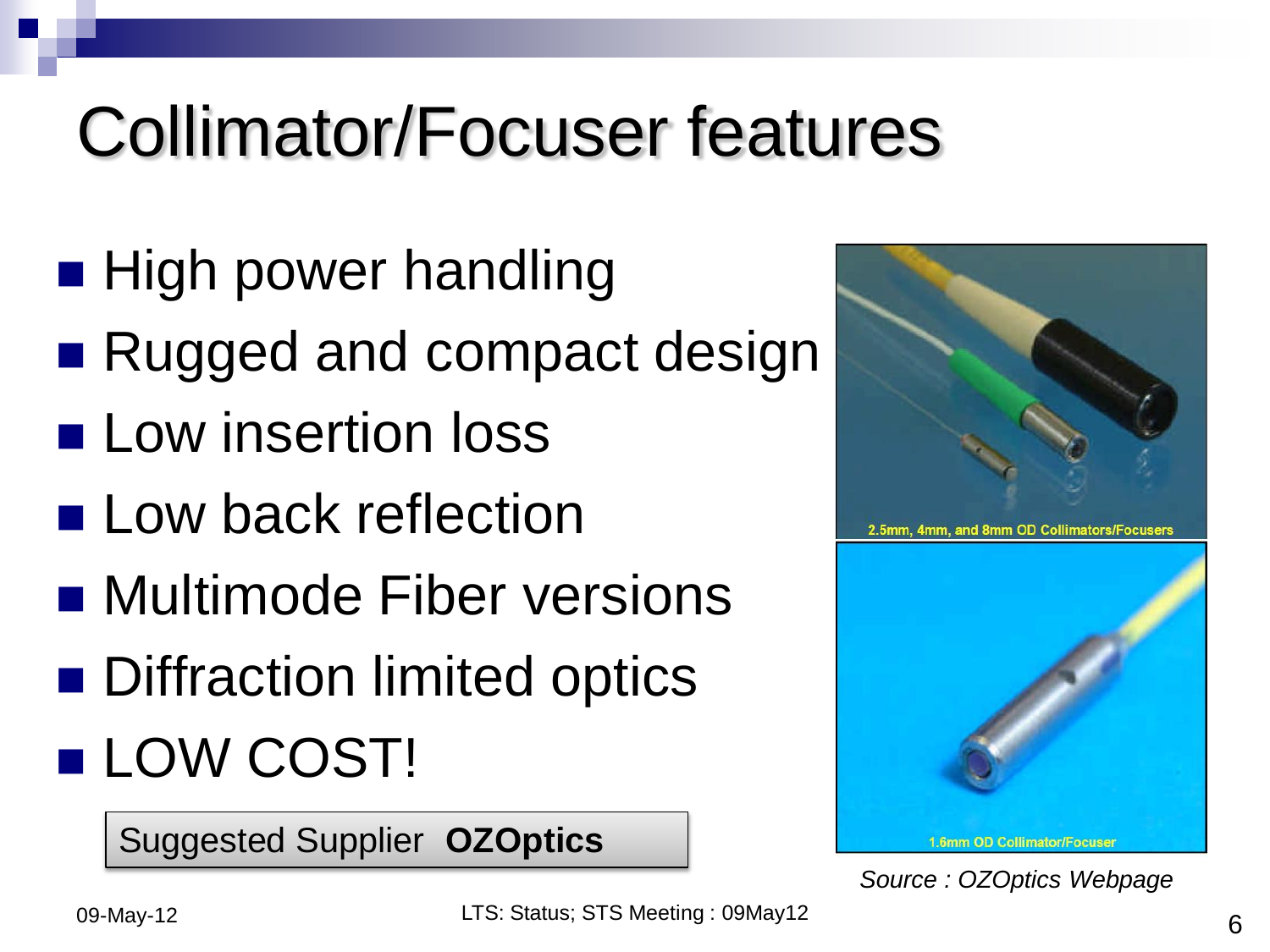## Collimator/Focuser features

- **High power handling**
- Rugged and compact design
- **Low insertion loss**
- **Low back reflection**
- Multimode Fiber versions
- **Diffraction limited optics**
- **LOW COST!**

Suggested Supplier **OZOptics**



*Source : OZOptics Webpage*